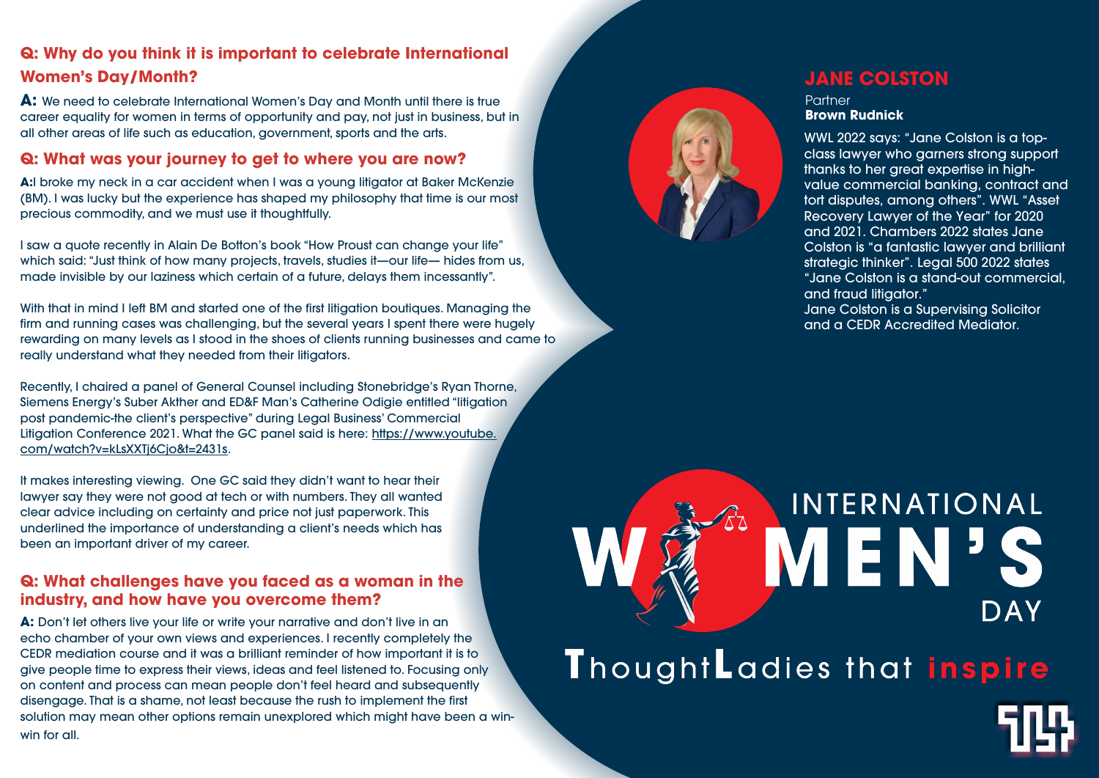### **Q: Why do you think it is important to celebrate International Women's Day/Month?**

**A:** We need to celebrate International Women's Day and Month until there is true career equality for women in terms of opportunity and pay, not just in business, but in all other areas of life such as education, government, sports and the arts.

### **Q: What was your journey to get to where you are now?**

**A:**I broke my neck in a car accident when I was a young litigator at Baker McKenzie (BM). I was lucky but the experience has shaped my philosophy that time is our most precious commodity, and we must use it thoughtfully.

I saw a quote recently in Alain De Botton's book "How Proust can change your life" which said: "Just think of how many projects, travels, studies it—our life— hides from us, made invisible by our laziness which certain of a future, delays them incessantly".

With that in mind I left BM and started one of the first litigation boutiques. Managing the firm and running cases was challenging, but the several years I spent there were hugely rewarding on many levels as I stood in the shoes of clients running businesses and came to really understand what they needed from their litigators.

**Partner Brown Rudnick**

Recently, I chaired a panel of General Counsel including Stonebridge's Ryan Thorne, Siemens Energy's Suber Akther and ED&F Man's Catherine Odigie entitled "litigation post pandemic-the client's perspective" during Legal Business' Commercial Litigation Conference 2021. What the GC panel said is here: https://www.youtube. com/watch?v=kLsXXTj6Cjo&t=2431s.

It makes interesting viewing. One GC said they didn't want to hear their lawyer say they were not good at tech or with numbers. They all wanted clear advice including on certainty and price not just paperwork. This underlined the importance of understanding a client's needs which has been an important driver of my career.

### **Q: What challenges have you faced as a woman in the industry, and how have you overcome them?**

**A:** Don't let others live your life or write your narrative and don't live in an echo chamber of your own views and experiences. I recently completely the CEDR mediation course and it was a brilliant reminder of how important it is to give people time to express their views, ideas and feel listened to. Focusing only on content and process can mean people don't feel heard and subsequently disengage. That is a shame, not least because the rush to implement the first solution may mean other options remain unexplored which might have been a winwin for all.



### **JANE COLSTON**

WWL 2022 says: "Jane Colston is a topclass lawyer who garners strong support thanks to her great expertise in highvalue commercial banking, contract and tort disputes, among others". WWL "Asset Recovery Lawyer of the Year" for 2020 and 2021. Chambers 2022 states Jane Colston is "a fantastic lawyer and brilliant strategic thinker". Legal 500 2022 states "Jane Colston is a stand-out commercial, and fraud litigator."

Jane Colston is a Supervising Solicitor and a CEDR Accredited Mediator.

# INTERNATIONAL MEN'S DAY ThoughtLadies that inspire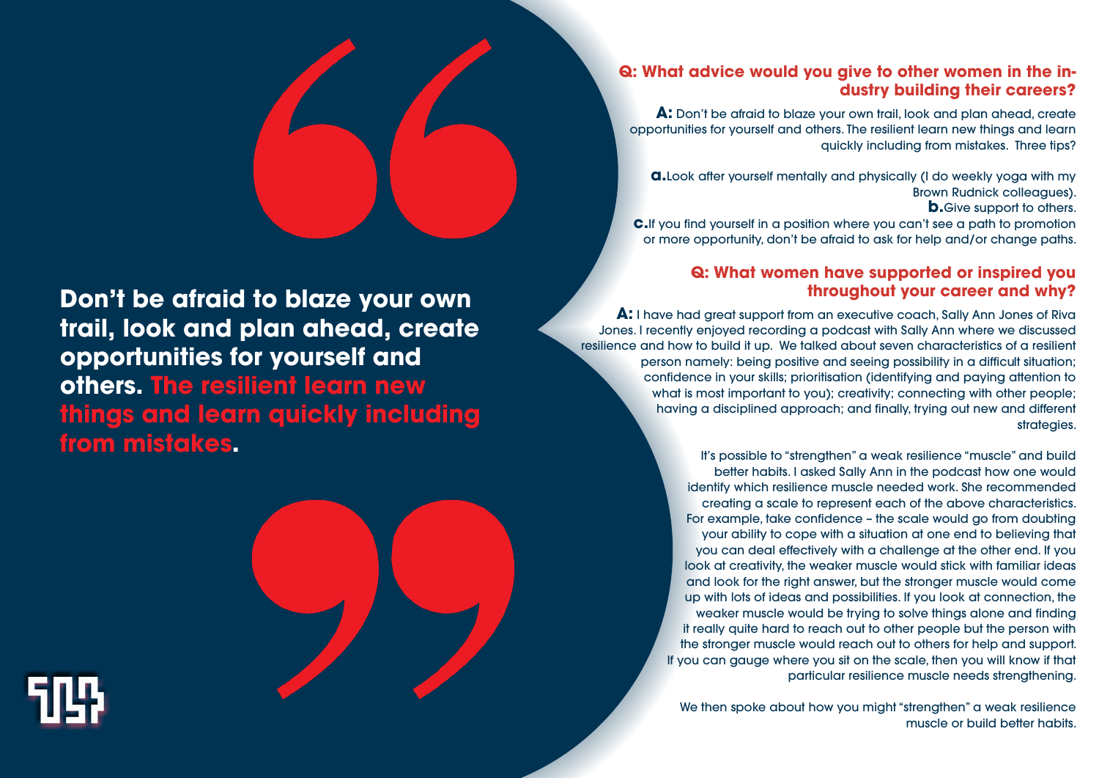### **Q: What advice would you give to other women in the industry building their careers?**

Brown Rudnick colleagues). **b.**Give support to others.

**A:** Don't be afraid to blaze your own trail, look and plan ahead, create opportunities for yourself and others. The resilient learn new things and learn quickly including from mistakes. Three tips?

**a.**Look after yourself mentally and physically (I do weekly yoga with my **c.**If you find yourself in a position where you can't see a path to promotion or more opportunity, don't be afraid to ask for help and/or change paths.

### **Q: What women have supported or inspired you throughout your career and why?**

**A:** I have had great support from an executive coach, Sally Ann Jones of Riva Jones. I recently enjoyed recording a podcast with Sally Ann where we discussed resilience and how to build it up. We talked about seven characteristics of a resilient person namely: being positive and seeing possibility in a difficult situation; confidence in your skills; prioritisation (identifying and paying attention to what is most important to you); creativity; connecting with other people; having a disciplined approach; and finally, trying out new and different strategies.

> We then spoke about how you might "strengthen" a weak resilience muscle or build better habits.

It's possible to "strengthen" a weak resilience "muscle" and build better habits. I asked Sally Ann in the podcast how one would identify which resilience muscle needed work. She recommended creating a scale to represent each of the above characteristics. For example, take confidence – the scale would go from doubting your ability to cope with a situation at one end to believing that you can deal effectively with a challenge at the other end. If you look at creativity, the weaker muscle would stick with familiar ideas and look for the right answer, but the stronger muscle would come up with lots of ideas and possibilities. If you look at connection, the weaker muscle would be trying to solve things alone and finding it really quite hard to reach out to other people but the person with the stronger muscle would reach out to others for help and support. If you can gauge where you sit on the scale, then you will know if that particular resilience muscle needs strengthening.

## **Don't be afraid to blaze your own trail, look and plan ahead, create opportunities for yourself and others. The resilient learn new things and learn quickly including from mistakes.**